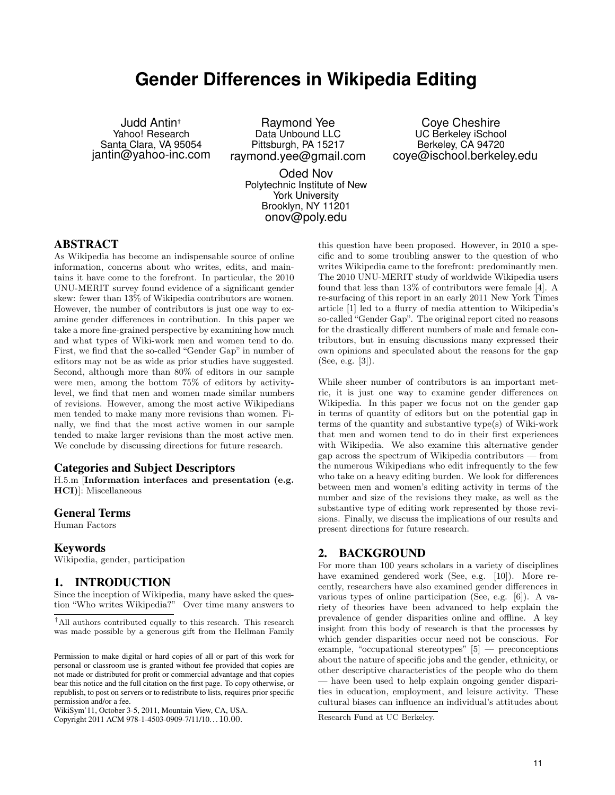# **Gender Differences in Wikipedia Editing**

Judd Antin† Yahoo! Research Santa Clara, VA 95054 jantin@yahoo-inc.com

Raymond Yee Data Unbound LLC Pittsburgh, PA 15217 raymond.yee@gmail.com

> Oded Nov Polytechnic Institute of New York University Brooklyn, NY 11201 onov@poly.edu

Coye Cheshire UC Berkeley iSchool Berkeley, CA 94720 coye@ischool.berkeley.edu

### ABSTRACT

As Wikipedia has become an indispensable source of online information, concerns about who writes, edits, and maintains it have come to the forefront. In particular, the 2010 UNU-MERIT survey found evidence of a significant gender skew: fewer than 13% of Wikipedia contributors are women. However, the number of contributors is just one way to examine gender differences in contribution. In this paper we take a more fine-grained perspective by examining how much and what types of Wiki-work men and women tend to do. First, we find that the so-called "Gender Gap" in number of editors may not be as wide as prior studies have suggested. Second, although more than 80% of editors in our sample were men, among the bottom 75% of editors by activitylevel, we find that men and women made similar numbers of revisions. However, among the most active Wikipedians men tended to make many more revisions than women. Finally, we find that the most active women in our sample tended to make larger revisions than the most active men. We conclude by discussing directions for future research.

#### Categories and Subject Descriptors

H.5.m [Information interfaces and presentation (e.g. HCI)]: Miscellaneous

#### General Terms

Human Factors

#### Keywords

Wikipedia, gender, participation

#### 1. INTRODUCTION

Since the inception of Wikipedia, many have asked the question "Who writes Wikipedia?"† Over time many answers to

WikiSym'11, October 3-5, 2011, Mountain View, CA, USA.

Copyright 2011 ACM 978-1-4503-0909-7/11/10. . . 10.00.

this question have been proposed. However, in 2010 a specific and to some troubling answer to the question of who writes Wikipedia came to the forefront: predominantly men. The 2010 UNU-MERIT study of worldwide Wikipedia users found that less than 13% of contributors were female [4]. A re-surfacing of this report in an early 2011 New York Times article [1] led to a flurry of media attention to Wikipedia's so-called "Gender Gap". The original report cited no reasons for the drastically different numbers of male and female contributors, but in ensuing discussions many expressed their own opinions and speculated about the reasons for the gap (See, e.g. [3]).

While sheer number of contributors is an important metric, it is just one way to examine gender differences on Wikipedia. In this paper we focus not on the gender gap in terms of quantity of editors but on the potential gap in terms of the quantity and substantive type(s) of Wiki-work that men and women tend to do in their first experiences with Wikipedia. We also examine this alternative gender gap across the spectrum of Wikipedia contributors — from the numerous Wikipedians who edit infrequently to the few who take on a heavy editing burden. We look for differences between men and women's editing activity in terms of the number and size of the revisions they make, as well as the substantive type of editing work represented by those revisions. Finally, we discuss the implications of our results and present directions for future research.

#### 2. BACKGROUND

For more than 100 years scholars in a variety of disciplines have examined gendered work (See, e.g. [10]). More recently, researchers have also examined gender differences in various types of online participation (See, e.g. [6]). A variety of theories have been advanced to help explain the prevalence of gender disparities online and offline. A key insight from this body of research is that the processes by which gender disparities occur need not be conscious. For example, "occupational stereotypes" [5] — preconceptions about the nature of specific jobs and the gender, ethnicity, or other descriptive characteristics of the people who do them — have been used to help explain ongoing gender disparities in education, employment, and leisure activity. These cultural biases can influence an individual's attitudes about

<sup>†</sup>All authors contributed equally to this research. This research was made possible by a generous gift from the Hellman Family

Permission to make digital or hard copies of all or part of this work for personal or classroom use is granted without fee provided that copies are not made or distributed for profit or commercial advantage and that copies bear this notice and the full citation on the first page. To copy otherwise, or republish, to post on servers or to redistribute to lists, requires prior specific permission and/or a fee.

Research Fund at UC Berkeley.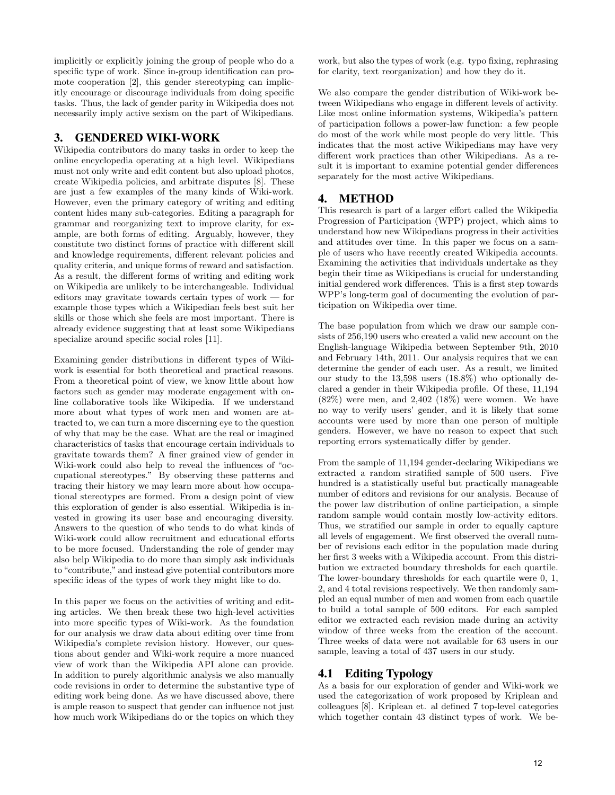implicitly or explicitly joining the group of people who do a specific type of work. Since in-group identification can promote cooperation [2], this gender stereotyping can implicitly encourage or discourage individuals from doing specific tasks. Thus, the lack of gender parity in Wikipedia does not necessarily imply active sexism on the part of Wikipedians.

## 3. GENDERED WIKI-WORK

Wikipedia contributors do many tasks in order to keep the online encyclopedia operating at a high level. Wikipedians must not only write and edit content but also upload photos, create Wikipedia policies, and arbitrate disputes [8]. These are just a few examples of the many kinds of Wiki-work. However, even the primary category of writing and editing content hides many sub-categories. Editing a paragraph for grammar and reorganizing text to improve clarity, for example, are both forms of editing. Arguably, however, they constitute two distinct forms of practice with different skill and knowledge requirements, different relevant policies and quality criteria, and unique forms of reward and satisfaction. As a result, the different forms of writing and editing work on Wikipedia are unlikely to be interchangeable. Individual editors may gravitate towards certain types of work — for example those types which a Wikipedian feels best suit her skills or those which she feels are most important. There is already evidence suggesting that at least some Wikipedians specialize around specific social roles [11].

Examining gender distributions in different types of Wikiwork is essential for both theoretical and practical reasons. From a theoretical point of view, we know little about how factors such as gender may moderate engagement with online collaborative tools like Wikipedia. If we understand more about what types of work men and women are attracted to, we can turn a more discerning eye to the question of why that may be the case. What are the real or imagined characteristics of tasks that encourage certain individuals to gravitate towards them? A finer grained view of gender in Wiki-work could also help to reveal the influences of "occupational stereotypes." By observing these patterns and tracing their history we may learn more about how occupational stereotypes are formed. From a design point of view this exploration of gender is also essential. Wikipedia is invested in growing its user base and encouraging diversity. Answers to the question of who tends to do what kinds of Wiki-work could allow recruitment and educational efforts to be more focused. Understanding the role of gender may also help Wikipedia to do more than simply ask individuals to "contribute," and instead give potential contributors more specific ideas of the types of work they might like to do.

In this paper we focus on the activities of writing and editing articles. We then break these two high-level activities into more specific types of Wiki-work. As the foundation for our analysis we draw data about editing over time from Wikipedia's complete revision history. However, our questions about gender and Wiki-work require a more nuanced view of work than the Wikipedia API alone can provide. In addition to purely algorithmic analysis we also manually code revisions in order to determine the substantive type of editing work being done. As we have discussed above, there is ample reason to suspect that gender can influence not just how much work Wikipedians do or the topics on which they work, but also the types of work (e.g. typo fixing, rephrasing for clarity, text reorganization) and how they do it.

We also compare the gender distribution of Wiki-work between Wikipedians who engage in different levels of activity. Like most online information systems, Wikipedia's pattern of participation follows a power-law function: a few people do most of the work while most people do very little. This indicates that the most active Wikipedians may have very different work practices than other Wikipedians. As a result it is important to examine potential gender differences separately for the most active Wikipedians.

#### 4. METHOD

This research is part of a larger effort called the Wikipedia Progression of Participation (WPP) project, which aims to understand how new Wikipedians progress in their activities and attitudes over time. In this paper we focus on a sample of users who have recently created Wikipedia accounts. Examining the activities that individuals undertake as they begin their time as Wikipedians is crucial for understanding initial gendered work differences. This is a first step towards WPP's long-term goal of documenting the evolution of participation on Wikipedia over time.

The base population from which we draw our sample consists of 256,190 users who created a valid new account on the English-language Wikipedia between September 9th, 2010 and February 14th, 2011. Our analysis requires that we can determine the gender of each user. As a result, we limited our study to the 13,598 users (18.8%) who optionally declared a gender in their Wikipedia profile. Of these, 11,194  $(82\%)$  were men, and  $2,402$   $(18\%)$  were women. We have no way to verify users' gender, and it is likely that some accounts were used by more than one person of multiple genders. However, we have no reason to expect that such reporting errors systematically differ by gender.

From the sample of 11,194 gender-declaring Wikipedians we extracted a random stratified sample of 500 users. Five hundred is a statistically useful but practically manageable number of editors and revisions for our analysis. Because of the power law distribution of online participation, a simple random sample would contain mostly low-activity editors. Thus, we stratified our sample in order to equally capture all levels of engagement. We first observed the overall number of revisions each editor in the population made during her first 3 weeks with a Wikipedia account. From this distribution we extracted boundary thresholds for each quartile. The lower-boundary thresholds for each quartile were 0, 1, 2, and 4 total revisions respectively. We then randomly sampled an equal number of men and women from each quartile to build a total sample of 500 editors. For each sampled editor we extracted each revision made during an activity window of three weeks from the creation of the account. Three weeks of data were not available for 63 users in our sample, leaving a total of 437 users in our study.

#### 4.1 Editing Typology

As a basis for our exploration of gender and Wiki-work we used the categorization of work proposed by Kriplean and colleagues [8]. Kriplean et. al defined 7 top-level categories which together contain 43 distinct types of work. We be-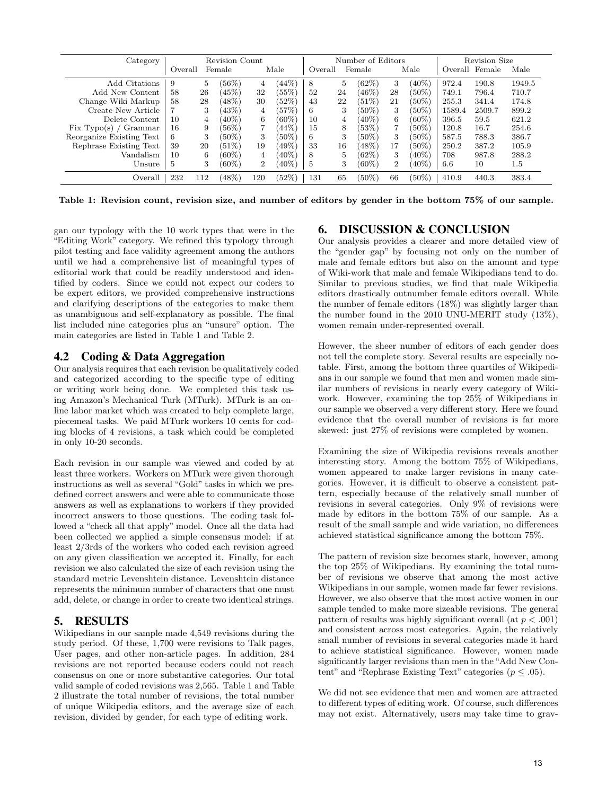| Category                 | Revision Count    |     |          |                |                        |     | Number of Editors |          |                |                |        | Revision Size |         |  |
|--------------------------|-------------------|-----|----------|----------------|------------------------|-----|-------------------|----------|----------------|----------------|--------|---------------|---------|--|
|                          | Female<br>Overall |     | Male     |                | Female<br>Overall      |     | Male              |          |                | Overall Female | Male   |               |         |  |
| Add Citations            | 9                 | 5   | $(56\%)$ | 4              | $(44\%$                | 8   | 5                 | (62%)    | 3              | $(40\%)$       | 972.4  | 190.8         | 1949.5  |  |
| Add New Content          | 58                | 26  | (45%)    | 32             | $(55\%$                | 52  | 24                | $(46\%)$ | 28             | $(50\%)$       | 749.1  | 796.4         | 710.7   |  |
| Change Wiki Markup       | 58                | 28  | $(48\%)$ | 30             | $(52\%)$               | 43  | 22                | $(51\%)$ | 21             | $(50\%)$       | 255.3  | 341.4         | 174.8   |  |
| Create New Article       | 7                 | 3   | (43%)    | 4              | $(57\%$                | 6   | 3                 | $(50\%)$ | 3              | $(50\%)$       | 1589.4 | 2509.7        | 899.2   |  |
| Delete Content           | 10                | 4   | $(40\%)$ | 6              | (60%)                  | 10  | 4                 | $(40\%)$ | 6              | $(60\%)$       | 396.5  | 59.5          | 621.2   |  |
| Fix $Type(s) / Grammar$  | 16                | 9   | $(56\%)$ |                | $44\%$                 | 15  | 8                 | (53%)    | ⇁              | $(50\%)$       | 120.8  | 16.7          | 254.6   |  |
| Reorganize Existing Text | 6                 | 3   | $(50\%)$ | 3              | (50%)                  | 6   | 3                 | (50%)    | 3              | $(50\%)$       | 587.5  | 788.3         | 386.7   |  |
| Rephrase Existing Text   | 39                | 20  | $(51\%)$ | 19             | $49\%$                 | 33  | 16                | $(48\%)$ | 17             | $(50\%)$       | 250.2  | 387.2         | 105.9   |  |
| Vandalism                | 10                | 6   | $(60\%)$ | 4              | $\langle 40\% \rangle$ | 8   | 5                 | (62%)    | 3              | $(40\%$        | 708    | 987.8         | 288.2   |  |
| Unsure                   | 5                 | 3   | $(60\%)$ | $\overline{2}$ | $40\%$                 | 5   | 3                 | $(60\%)$ | $\overline{2}$ | $(40\%)$       | 6.6    | 10            | $1.5\,$ |  |
| Overall                  | 232               | 112 | (48%)    | 120            | $(52\%$                | 131 | 65                | $(50\%)$ | 66             | $(50\%)$       | 410.9  | 440.3         | 383.4   |  |

Table 1: Revision count, revision size, and number of editors by gender in the bottom 75% of our sample.

gan our typology with the 10 work types that were in the "Editing Work" category. We refined this typology through pilot testing and face validity agreement among the authors until we had a comprehensive list of meaningful types of editorial work that could be readily understood and identified by coders. Since we could not expect our coders to be expert editors, we provided comprehensive instructions and clarifying descriptions of the categories to make them as unambiguous and self-explanatory as possible. The final list included nine categories plus an "unsure" option. The main categories are listed in Table 1 and Table 2.

## 4.2 Coding & Data Aggregation

Our analysis requires that each revision be qualitatively coded and categorized according to the specific type of editing or writing work being done. We completed this task using Amazon's Mechanical Turk (MTurk). MTurk is an online labor market which was created to help complete large, piecemeal tasks. We paid MTurk workers 10 cents for coding blocks of 4 revisions, a task which could be completed in only 10-20 seconds.

Each revision in our sample was viewed and coded by at least three workers. Workers on MTurk were given thorough instructions as well as several "Gold" tasks in which we predefined correct answers and were able to communicate those answers as well as explanations to workers if they provided incorrect answers to those questions. The coding task followed a "check all that apply" model. Once all the data had been collected we applied a simple consensus model: if at least 2/3rds of the workers who coded each revision agreed on any given classification we accepted it. Finally, for each revision we also calculated the size of each revision using the standard metric Levenshtein distance. Levenshtein distance represents the minimum number of characters that one must add, delete, or change in order to create two identical strings.

# 5. RESULTS

Wikipedians in our sample made 4,549 revisions during the study period. Of these, 1,700 were revisions to Talk pages, User pages, and other non-article pages. In addition, 284 revisions are not reported because coders could not reach consensus on one or more substantive categories. Our total valid sample of coded revisions was 2,565. Table 1 and Table 2 illustrate the total number of revisions, the total number of unique Wikipedia editors, and the average size of each revision, divided by gender, for each type of editing work.

# 6. DISCUSSION & CONCLUSION

Our analysis provides a clearer and more detailed view of the "gender gap" by focusing not only on the number of male and female editors but also on the amount and type of Wiki-work that male and female Wikipedians tend to do. Similar to previous studies, we find that male Wikipedia editors drastically outnumber female editors overall. While the number of female editors (18%) was slightly larger than the number found in the 2010 UNU-MERIT study (13%), women remain under-represented overall.

However, the sheer number of editors of each gender does not tell the complete story. Several results are especially notable. First, among the bottom three quartiles of Wikipedians in our sample we found that men and women made similar numbers of revisions in nearly every category of Wikiwork. However, examining the top 25% of Wikipedians in our sample we observed a very different story. Here we found evidence that the overall number of revisions is far more skewed: just 27% of revisions were completed by women.

Examining the size of Wikipedia revisions reveals another interesting story. Among the bottom 75% of Wikipedians, women appeared to make larger revisions in many categories. However, it is difficult to observe a consistent pattern, especially because of the relatively small number of revisions in several categories. Only 9% of revisions were made by editors in the bottom 75% of our sample. As a result of the small sample and wide variation, no differences achieved statistical significance among the bottom 75%.

The pattern of revision size becomes stark, however, among the top 25% of Wikipedians. By examining the total number of revisions we observe that among the most active Wikipedians in our sample, women made far fewer revisions. However, we also observe that the most active women in our sample tended to make more sizeable revisions. The general pattern of results was highly significant overall (at  $p < .001$ ) and consistent across most categories. Again, the relatively small number of revisions in several categories made it hard to achieve statistical significance. However, women made significantly larger revisions than men in the "Add New Content" and "Rephrase Existing Text" categories ( $p \leq .05$ ).

We did not see evidence that men and women are attracted to different types of editing work. Of course, such differences may not exist. Alternatively, users may take time to grav-